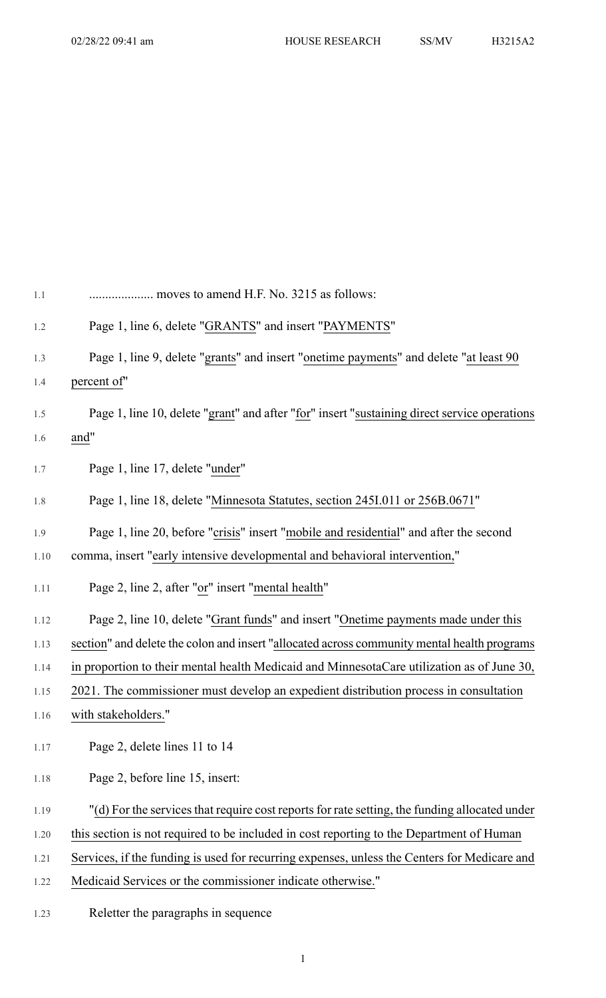| 1.1  | moves to amend H.F. No. 3215 as follows:                                                      |
|------|-----------------------------------------------------------------------------------------------|
| 1.2  | Page 1, line 6, delete "GRANTS" and insert "PAYMENTS"                                         |
| 1.3  | Page 1, line 9, delete "grants" and insert "onetime payments" and delete "at least 90         |
| 1.4  | percent of"                                                                                   |
| 1.5  | Page 1, line 10, delete "grant" and after "for" insert "sustaining direct service operations  |
| 1.6  | and"                                                                                          |
| 1.7  | Page 1, line 17, delete "under"                                                               |
| 1.8  | Page 1, line 18, delete "Minnesota Statutes, section 245I.011 or 256B.0671"                   |
| 1.9  | Page 1, line 20, before "crisis" insert "mobile and residential" and after the second         |
| 1.10 | comma, insert "early intensive developmental and behavioral intervention,"                    |
| 1.11 | Page 2, line 2, after "or" insert "mental health"                                             |
| 1.12 | Page 2, line 10, delete "Grant funds" and insert "Onetime payments made under this            |
| 1.13 | section" and delete the colon and insert "allocated across community mental health programs   |
| 1.14 | in proportion to their mental health Medicaid and MinnesotaCare utilization as of June 30,    |
| 1.15 | 2021. The commissioner must develop an expedient distribution process in consultation         |
| 1.16 | with stakeholders."                                                                           |
| 1.17 | Page 2, delete lines 11 to 14                                                                 |
| 1.18 | Page 2, before line 15, insert:                                                               |
| 1.19 | "(d) For the services that require cost reports for rate setting, the funding allocated under |
| 1.20 | this section is not required to be included in cost reporting to the Department of Human      |
| 1.21 | Services, if the funding is used for recurring expenses, unless the Centers for Medicare and  |
| 1.22 | Medicaid Services or the commissioner indicate otherwise."                                    |
|      |                                                                                               |

1.23 Reletter the paragraphs in sequence